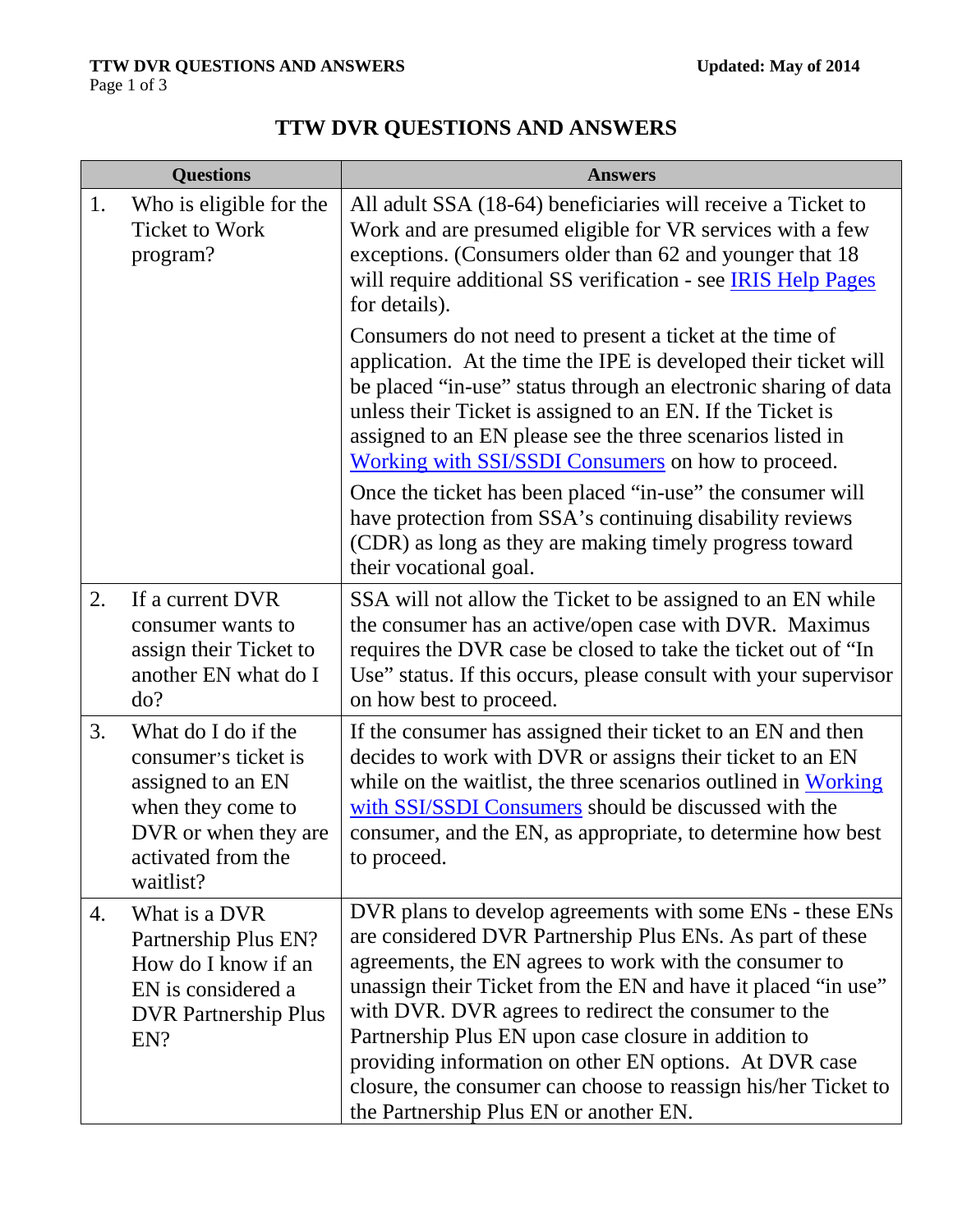| <b>Questions</b> |                                                                                                                                                  | <b>Answers</b>                                                                                                                                                                                                                                                                                                                                                                                                                                                                                                                          |
|------------------|--------------------------------------------------------------------------------------------------------------------------------------------------|-----------------------------------------------------------------------------------------------------------------------------------------------------------------------------------------------------------------------------------------------------------------------------------------------------------------------------------------------------------------------------------------------------------------------------------------------------------------------------------------------------------------------------------------|
| 1.               | Who is eligible for the<br><b>Ticket to Work</b><br>program?                                                                                     | All adult SSA (18-64) beneficiaries will receive a Ticket to<br>Work and are presumed eligible for VR services with a few<br>exceptions. (Consumers older than 62 and younger that 18<br>will require additional SS verification - see <b>IRIS Help Pages</b><br>for details).                                                                                                                                                                                                                                                          |
|                  |                                                                                                                                                  | Consumers do not need to present a ticket at the time of<br>application. At the time the IPE is developed their ticket will<br>be placed "in-use" status through an electronic sharing of data<br>unless their Ticket is assigned to an EN. If the Ticket is<br>assigned to an EN please see the three scenarios listed in<br>Working with SSI/SSDI Consumers on how to proceed.                                                                                                                                                        |
|                  |                                                                                                                                                  | Once the ticket has been placed "in-use" the consumer will<br>have protection from SSA's continuing disability reviews<br>(CDR) as long as they are making timely progress toward<br>their vocational goal.                                                                                                                                                                                                                                                                                                                             |
| 2.               | If a current DVR<br>consumer wants to<br>assign their Ticket to<br>another EN what do I<br>do?                                                   | SSA will not allow the Ticket to be assigned to an EN while<br>the consumer has an active/open case with DVR. Maximus<br>requires the DVR case be closed to take the ticket out of "In<br>Use" status. If this occurs, please consult with your supervisor<br>on how best to proceed.                                                                                                                                                                                                                                                   |
| 3.               | What do I do if the<br>consumer's ticket is<br>assigned to an EN<br>when they come to<br>DVR or when they are<br>activated from the<br>waitlist? | If the consumer has assigned their ticket to an EN and then<br>decides to work with DVR or assigns their ticket to an EN<br>while on the waitlist, the three scenarios outlined in Working<br>with SSI/SSDI Consumers should be discussed with the<br>consumer, and the EN, as appropriate, to determine how best<br>to proceed.                                                                                                                                                                                                        |
| 4.               | What is a DVR<br>Partnership Plus EN?<br>How do I know if an<br>EN is considered a<br><b>DVR</b> Partnership Plus<br>EN?                         | DVR plans to develop agreements with some ENs - these ENs<br>are considered DVR Partnership Plus ENs. As part of these<br>agreements, the EN agrees to work with the consumer to<br>unassign their Ticket from the EN and have it placed "in use"<br>with DVR. DVR agrees to redirect the consumer to the<br>Partnership Plus EN upon case closure in addition to<br>providing information on other EN options. At DVR case<br>closure, the consumer can choose to reassign his/her Ticket to<br>the Partnership Plus EN or another EN. |

## **TTW DVR QUESTIONS AND ANSWERS**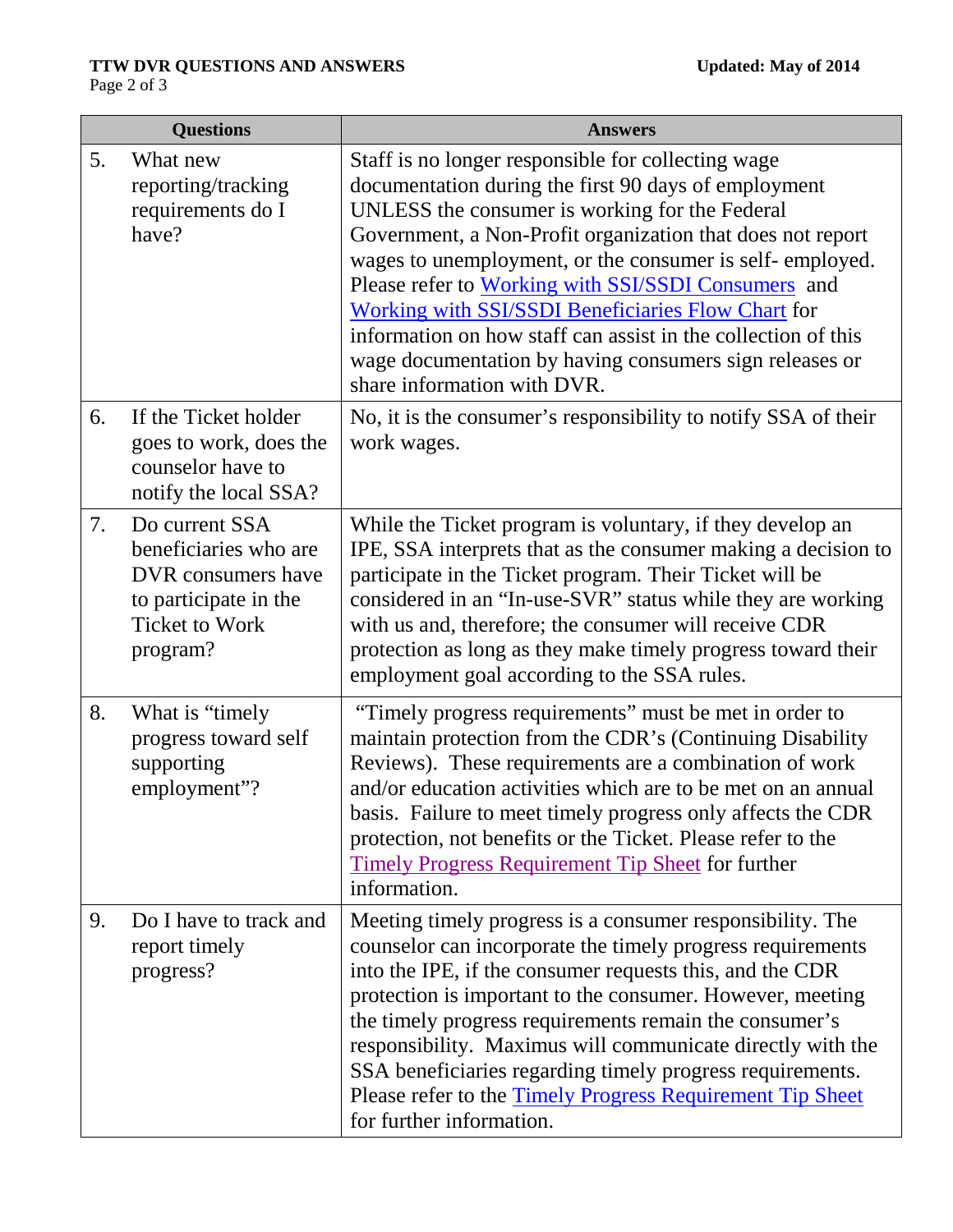|    | <b>Questions</b>                                                                                                            | <b>Answers</b>                                                                                                                                                                                                                                                                                                                                                                                                                                                                                                                                                        |
|----|-----------------------------------------------------------------------------------------------------------------------------|-----------------------------------------------------------------------------------------------------------------------------------------------------------------------------------------------------------------------------------------------------------------------------------------------------------------------------------------------------------------------------------------------------------------------------------------------------------------------------------------------------------------------------------------------------------------------|
| 5. | What new<br>reporting/tracking<br>requirements do I<br>have?                                                                | Staff is no longer responsible for collecting wage<br>documentation during the first 90 days of employment<br>UNLESS the consumer is working for the Federal<br>Government, a Non-Profit organization that does not report<br>wages to unemployment, or the consumer is self-employed.<br>Please refer to Working with SSI/SSDI Consumers and<br><b>Working with SSI/SSDI Beneficiaries Flow Chart for</b><br>information on how staff can assist in the collection of this<br>wage documentation by having consumers sign releases or<br>share information with DVR. |
| 6. | If the Ticket holder<br>goes to work, does the<br>counselor have to<br>notify the local SSA?                                | No, it is the consumer's responsibility to notify SSA of their<br>work wages.                                                                                                                                                                                                                                                                                                                                                                                                                                                                                         |
| 7. | Do current SSA<br>beneficiaries who are<br>DVR consumers have<br>to participate in the<br><b>Ticket to Work</b><br>program? | While the Ticket program is voluntary, if they develop an<br>IPE, SSA interprets that as the consumer making a decision to<br>participate in the Ticket program. Their Ticket will be<br>considered in an "In-use-SVR" status while they are working<br>with us and, therefore; the consumer will receive CDR<br>protection as long as they make timely progress toward their<br>employment goal according to the SSA rules.                                                                                                                                          |
| 8. | What is "timely"<br>progress toward self<br>supporting<br>employment"?                                                      | "Timely progress requirements" must be met in order to<br>maintain protection from the CDR's (Continuing Disability<br>Reviews). These requirements are a combination of work<br>and/or education activities which are to be met on an annual<br>basis. Failure to meet timely progress only affects the CDR<br>protection, not benefits or the Ticket. Please refer to the<br><b>Timely Progress Requirement Tip Sheet for further</b><br>information.                                                                                                               |
| 9. | Do I have to track and<br>report timely<br>progress?                                                                        | Meeting timely progress is a consumer responsibility. The<br>counselor can incorporate the timely progress requirements<br>into the IPE, if the consumer requests this, and the CDR<br>protection is important to the consumer. However, meeting<br>the timely progress requirements remain the consumer's<br>responsibility. Maximus will communicate directly with the<br>SSA beneficiaries regarding timely progress requirements.<br>Please refer to the Timely Progress Requirement Tip Sheet<br>for further information.                                        |